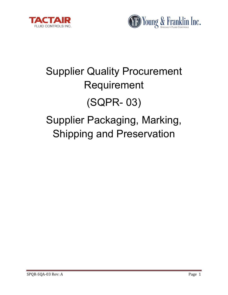



# Supplier Quality Procurement Requirement (SQPR- 03) Supplier Packaging, Marking, Shipping and Preservation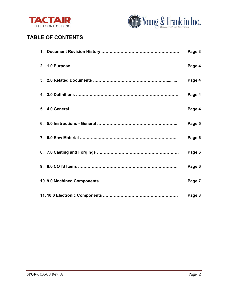



# **TABLE OF CONTENTS**

|  | Page 3 |
|--|--------|
|  | Page 4 |
|  | Page 4 |
|  | Page 4 |
|  | Page 4 |
|  | Page 5 |
|  | Page 6 |
|  | Page 6 |
|  | Page 6 |
|  | Page 7 |
|  | Page 8 |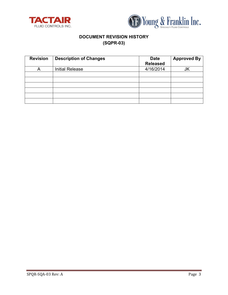



# **DOCUMENT REVISION HISTORY (SQPR-03)**

| <b>Revision</b> | <b>Description of Changes</b> | <b>Date</b><br><b>Released</b> | <b>Approved By</b> |
|-----------------|-------------------------------|--------------------------------|--------------------|
|                 | <b>Initial Release</b>        | 4/16/2014                      | JK                 |
|                 |                               |                                |                    |
|                 |                               |                                |                    |
|                 |                               |                                |                    |
|                 |                               |                                |                    |
|                 |                               |                                |                    |
|                 |                               |                                |                    |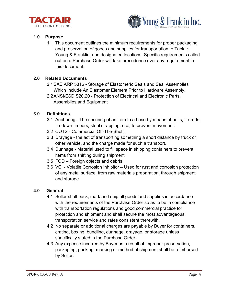



# **1.0 Purpose**

1.1 This document outlines the minimum requirements for proper packaging and preservation of goods and supplies for transportation to Tactair, Young & Franklin, and designated locations. Specific requirements called out on a Purchase Order will take precedence over any requirement in this document.

# **2.0 Related Documents**

- 2.1SAE ARP 5316 Storage of Elastomeric Seals and Seal Assemblies Which Include An Elastomer Element Prior to Hardware Assembly.
- 2.2ANSI/ESD S20.20 Protection of Electrical and Electronic Parts, Assemblies and Equipment

# **3.0 Definitions**

- 3.1 Anchoring The securing of an item to a base by means of bolts, tie-rods, tie-down timbers, steel strapping, etc., to prevent movement.
- 3.2 COTS Commercial Off-The-Shelf.
- 3.3 Drayage the act of transporting something a short distance by truck or other vehicle, and the charge made for such a transport.
- 3.4 Dunnage Material used to fill space in shipping containers to prevent items from shifting during shipment.
- 3.5 FOD Foreign objects and debris
- 3.6 VCI Volatile Corrosion Inhibitor Used for rust and corrosion protection of any metal surface; from raw materials preparation, through shipment and storage

# **4.0 General**

- 4.1 Seller shall pack, mark and ship all goods and supplies in accordance with the requirements of the Purchase Order so as to be in compliance with transportation regulations and good commercial practice for protection and shipment and shall secure the most advantageous transportation service and rates consistent therewith.
- 4.2 No separate or additional charges are payable by Buyer for containers, crating, boxing, bundling, dunnage, drayage, or storage unless specifically stated in the Purchase Order.
- 4.3 Any expense incurred by Buyer as a result of improper preservation, packaging, packing, marking or method of shipment shall be reimbursed by Seller.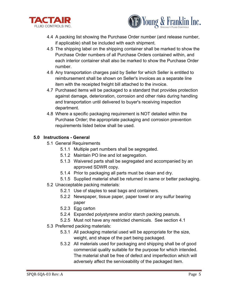



- 4.4 A packing list showing the Purchase Order number (and release number, if applicable) shall be included with each shipment.
- 4.5 The shipping label on the shipping container shall be marked to show the Purchase Order numbers of all Purchase Orders contained within, and each interior container shall also be marked to show the Purchase Order number.
- 4.6 Any transportation charges paid by Seller for which Seller is entitled to reimbursement shall be shown on Seller's invoices as a separate line item with the receipted freight bill attached to the invoice.
- 4.7 Purchased items will be packaged to a standard that provides protection against damage, deterioration, corrosion and other risks during handling and transportation until delivered to buyer's receiving inspection department.
- 4.8 Where a specific packaging requirement is NOT detailed within the Purchase Order; the appropriate packaging and corrosion prevention requirements listed below shall be used.

# **5.0 Instructions - General**

- 5.1 General Requirements
	- 5.1.1 Multiple part numbers shall be segregated.
	- 5.1.2 Maintain PO line and lot segregation.
	- 5.1.3 Waivered parts shall be segregated and accompanied by an approved SDWR copy.
	- 5.1.4 Prior to packaging all parts must be clean and dry.
	- 5.1.5 Supplied material shall be returned in same or better packaging.
- 5.2 Unacceptable packing materials:
	- 5.2.1 Use of staples to seal bags and containers.
	- 5.2.2 Newspaper, tissue paper, paper towel or any sulfur bearing paper
	- 5.2.3 Egg carton
	- 5.2.4 Expanded polystyrene and/or starch packing peanuts.
	- 5.2.5 Must not have any restricted chemicals. See section 4.1
- 5.3 Preferred packing materials:
	- 5.3.1 All packaging material used will be appropriate for the size, weight, and shape of the part being packaged.
	- 5.3.2 All materials used for packaging and shipping shall be of good commercial quality suitable for the purpose for which intended. The material shall be free of defect and imperfection which will adversely affect the serviceability of the packaged item.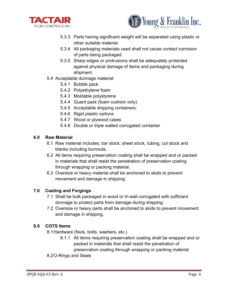



- 5.3.3 Parts having significant weight will be separated using plastic or other suitable material.
- 5.3.4 All packaging materials used shall not cause contact corrosion of parts being packaged.
- 5.3.5 Sharp edges or protrusions shall be adequately protected against physical damage of items and packaging during shipment.
- 5.4 Acceptable dunnage material:
	- 5.4.1 Bubble pack
	- 5.4.2 Polyethylene foam
	- 5.4.3 Moldable polystyrene
	- 5.4.4 Guard pack (foam cushion only)
	- 5.4.5 Acceptable shipping containers:
	- 5.4.6 Rigid plastic cartons
	- 5.4.7 Wood or plywood cases
	- 5.4.8 Double or triple walled corrugated container

#### **6.0 Raw Material**

- 6.1 Raw material includes; bar stock, sheet stock, tubing, cut stock and blanks including burnouts.
- 6.2 All items requiring preservation coating shall be wrapped and or packed in materials that shall resist the penetration of preservation coating through wrapping or packing material.
- 6.3 Oversize or heavy material shall be anchored to skids to prevent movement and damage in shipping.

# **7.0 Casting and Forgings**

- 7.1 Shall be bulk packaged in wood or tri-wall corrugated with sufficient dunnage to protect parts from damage during shipping.
- 7.2 Oversize or heavy parts shall be anchored to skids to prevent movement and damage in shipping.

# **8.0 COTS Items**

- 8.1Hardware (Nuts, bolts, washers, etc.)
	- 8.1.1 All items requiring preservation coating shall be wrapped and or packed in materials that shall resist the penetration of

preservation coating through wrapping or packing material

# 8.2O-Rings and Seals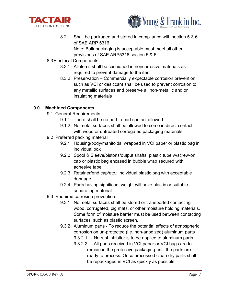



8.2.1 Shall be packaged and stored in compliance with section 5 & 6 of SAE ARP 5316

Note: Bulk packaging is acceptable must meet all other provisions of SAE ARP5316 section 5 & 6

- 8.3Electrical Components
	- 8.3.1 All items shall be cushioned in noncorrosive materials as required to prevent damage to the item
	- 8.3.2 Preservation Commercially expectable corrosion prevention such as VCI or desiccant shall be used to prevent corrosion to any metallic surfaces and preserve all non-metallic and or insulating materials

# **9.0 Machined Components**

- 9.1 General Requirements
	- 9.1.1 There shall be no part to part contact allowed
	- 9.1.2 No metal surfaces shall be allowed to come in direct contact with wood or untreated corrugated packaging materials
- 9.2 Preferred packing material
	- 9.2.1 Housing/body/manifolds; wrapped in VCI paper or plastic bag in individual box
	- 9.2.2 Spool & Sleeve/pistons/output shafts: plastic tube w/screw-on cap or plastic bag encased in bubble wrap secured with adhesive tape
	- 9.2.3 Retainer/end cap/etc.: individual plastic bag with acceptable dunnage
	- 9.2.4 Parts having significant weight will have plastic or suitable separating material
- 9.3 Required corrosion prevention:
	- 9.3.1 No metal surfaces shall be stored or transported contacting wood, corrugated, pig mats, or other moisture holding materials. Some form of moisture barrier must be used between contacting surfaces, such as plastic screen.
	- 9.3.2 Aluminum parts To reduce the potential effects of atmospheric corrosion on un-protected (i.e. non-anodized) aluminum parts
		- 9.3.2.1 No rust inhibitor is to be applied to aluminum parts
		- 9.3.2.2 All parts received in VCI paper or VCI bags are to remain in the protective packaging until the parts are ready to process. Once processed clean dry parts shall be repackaged in VCI as quickly as possible